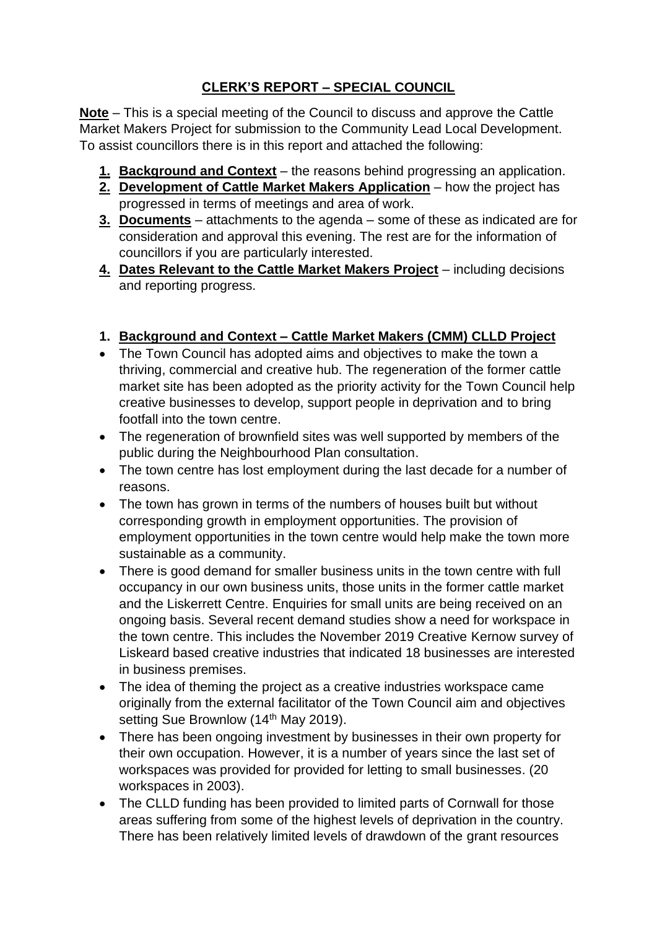## **CLERK'S REPORT – SPECIAL COUNCIL**

**Note** – This is a special meeting of the Council to discuss and approve the Cattle Market Makers Project for submission to the Community Lead Local Development. To assist councillors there is in this report and attached the following:

- **1. Background and Context** the reasons behind progressing an application.
- **2. Development of Cattle Market Makers Application** how the project has progressed in terms of meetings and area of work.
- **3. Documents** attachments to the agenda some of these as indicated are for consideration and approval this evening. The rest are for the information of councillors if you are particularly interested.
- **4. Dates Relevant to the Cattle Market Makers Project** including decisions and reporting progress.

### **1. Background and Context – Cattle Market Makers (CMM) CLLD Project**

- The Town Council has adopted aims and objectives to make the town a thriving, commercial and creative hub. The regeneration of the former cattle market site has been adopted as the priority activity for the Town Council help creative businesses to develop, support people in deprivation and to bring footfall into the town centre.
- The regeneration of brownfield sites was well supported by members of the public during the Neighbourhood Plan consultation.
- The town centre has lost employment during the last decade for a number of reasons.
- The town has grown in terms of the numbers of houses built but without corresponding growth in employment opportunities. The provision of employment opportunities in the town centre would help make the town more sustainable as a community.
- There is good demand for smaller business units in the town centre with full occupancy in our own business units, those units in the former cattle market and the Liskerrett Centre. Enquiries for small units are being received on an ongoing basis. Several recent demand studies show a need for workspace in the town centre. This includes the November 2019 Creative Kernow survey of Liskeard based creative industries that indicated 18 businesses are interested in business premises.
- The idea of theming the project as a creative industries workspace came originally from the external facilitator of the Town Council aim and objectives setting Sue Brownlow (14<sup>th</sup> May 2019).
- There has been ongoing investment by businesses in their own property for their own occupation. However, it is a number of years since the last set of workspaces was provided for provided for letting to small businesses. (20 workspaces in 2003).
- The CLLD funding has been provided to limited parts of Cornwall for those areas suffering from some of the highest levels of deprivation in the country. There has been relatively limited levels of drawdown of the grant resources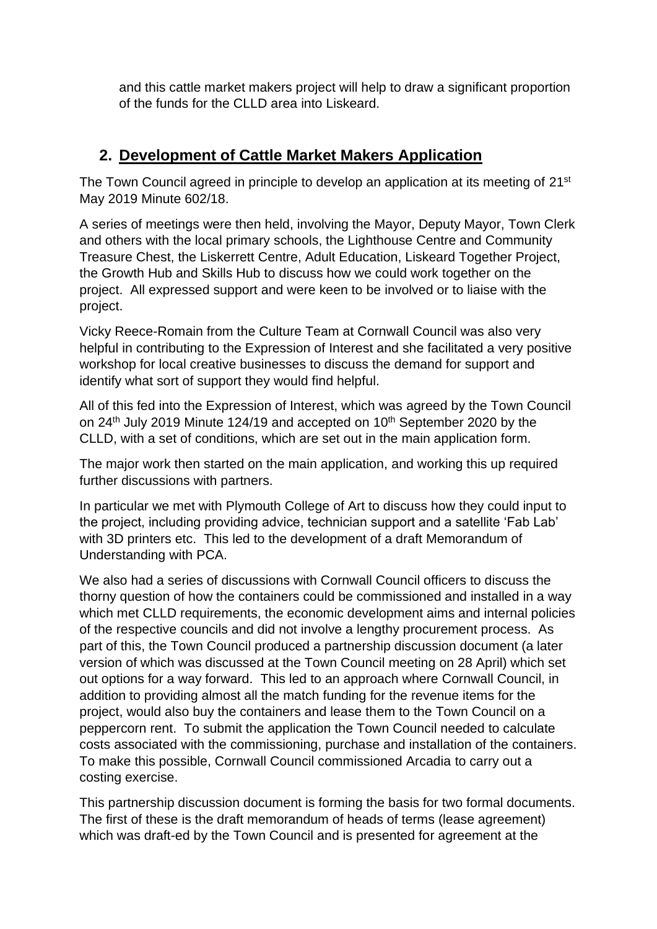and this cattle market makers project will help to draw a significant proportion of the funds for the CLLD area into Liskeard.

## **2. Development of Cattle Market Makers Application**

The Town Council agreed in principle to develop an application at its meeting of 21<sup>st</sup> May 2019 Minute 602/18.

A series of meetings were then held, involving the Mayor, Deputy Mayor, Town Clerk and others with the local primary schools, the Lighthouse Centre and Community Treasure Chest, the Liskerrett Centre, Adult Education, Liskeard Together Project, the Growth Hub and Skills Hub to discuss how we could work together on the project. All expressed support and were keen to be involved or to liaise with the project.

Vicky Reece-Romain from the Culture Team at Cornwall Council was also very helpful in contributing to the Expression of Interest and she facilitated a very positive workshop for local creative businesses to discuss the demand for support and identify what sort of support they would find helpful.

All of this fed into the Expression of Interest, which was agreed by the Town Council on 24<sup>th</sup> July 2019 Minute 124/19 and accepted on 10<sup>th</sup> September 2020 by the CLLD, with a set of conditions, which are set out in the main application form.

The major work then started on the main application, and working this up required further discussions with partners.

In particular we met with Plymouth College of Art to discuss how they could input to the project, including providing advice, technician support and a satellite 'Fab Lab' with 3D printers etc. This led to the development of a draft Memorandum of Understanding with PCA.

We also had a series of discussions with Cornwall Council officers to discuss the thorny question of how the containers could be commissioned and installed in a way which met CLLD requirements, the economic development aims and internal policies of the respective councils and did not involve a lengthy procurement process. As part of this, the Town Council produced a partnership discussion document (a later version of which was discussed at the Town Council meeting on 28 April) which set out options for a way forward. This led to an approach where Cornwall Council, in addition to providing almost all the match funding for the revenue items for the project, would also buy the containers and lease them to the Town Council on a peppercorn rent. To submit the application the Town Council needed to calculate costs associated with the commissioning, purchase and installation of the containers. To make this possible, Cornwall Council commissioned Arcadia to carry out a costing exercise.

This partnership discussion document is forming the basis for two formal documents. The first of these is the draft memorandum of heads of terms (lease agreement) which was draft-ed by the Town Council and is presented for agreement at the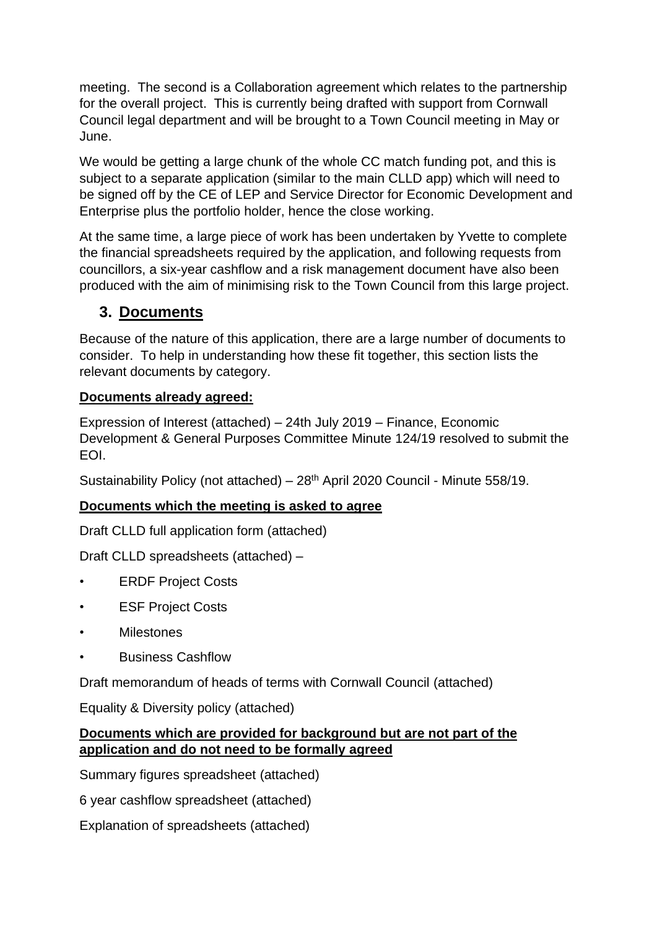meeting. The second is a Collaboration agreement which relates to the partnership for the overall project. This is currently being drafted with support from Cornwall Council legal department and will be brought to a Town Council meeting in May or June.

We would be getting a large chunk of the whole CC match funding pot, and this is subject to a separate application (similar to the main CLLD app) which will need to be signed off by the CE of LEP and Service Director for Economic Development and Enterprise plus the portfolio holder, hence the close working.

At the same time, a large piece of work has been undertaken by Yvette to complete the financial spreadsheets required by the application, and following requests from councillors, a six-year cashflow and a risk management document have also been produced with the aim of minimising risk to the Town Council from this large project.

# **3. Documents**

Because of the nature of this application, there are a large number of documents to consider. To help in understanding how these fit together, this section lists the relevant documents by category.

#### **Documents already agreed:**

Expression of Interest (attached) – 24th July 2019 – Finance, Economic Development & General Purposes Committee Minute 124/19 resolved to submit the EOI.

Sustainability Policy (not attached) –  $28<sup>th</sup>$  April 2020 Council - Minute 558/19.

### **Documents which the meeting is asked to agree**

Draft CLLD full application form (attached)

Draft CLLD spreadsheets (attached) –

- **ERDF Project Costs**
- **ESF Project Costs**
- **Milestones**
- Business Cashflow

Draft memorandum of heads of terms with Cornwall Council (attached)

Equality & Diversity policy (attached)

#### **Documents which are provided for background but are not part of the application and do not need to be formally agreed**

Summary figures spreadsheet (attached)

6 year cashflow spreadsheet (attached)

Explanation of spreadsheets (attached)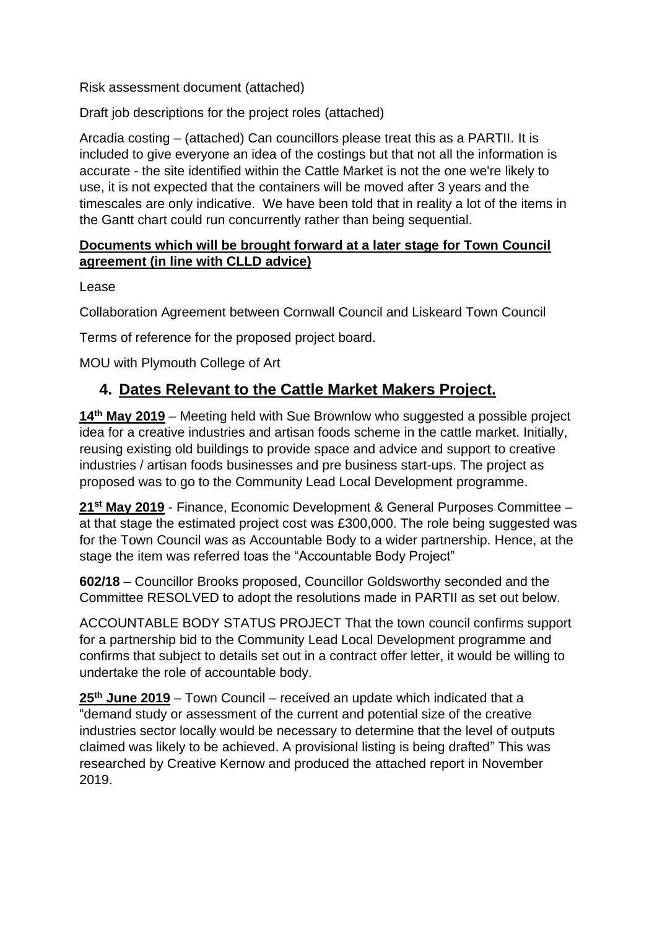Risk assessment document (attached)

Draft job descriptions for the project roles (attached)

Arcadia costing – (attached) Can councillors please treat this as a PARTII. It is included to give everyone an idea of the costings but that not all the information is accurate - the site identified within the Cattle Market is not the one we're likely to use, it is not expected that the containers will be moved after 3 years and the timescales are only indicative. We have been told that in reality a lot of the items in the Gantt chart could run concurrently rather than being sequential.

#### **Documents which will be brought forward at a later stage for Town Council agreement (in line with CLLD advice)**

Lease

Collaboration Agreement between Cornwall Council and Liskeard Town Council

Terms of reference for the proposed project board.

MOU with Plymouth College of Art

# **4. Dates Relevant to the Cattle Market Makers Project.**

**14th May 2019** – Meeting held with Sue Brownlow who suggested a possible project idea for a creative industries and artisan foods scheme in the cattle market. Initially, reusing existing old buildings to provide space and advice and support to creative industries / artisan foods businesses and pre business start-ups. The project as proposed was to go to the Community Lead Local Development programme.

**21st May 2019** - Finance, Economic Development & General Purposes Committee – at that stage the estimated project cost was £300,000. The role being suggested was for the Town Council was as Accountable Body to a wider partnership. Hence, at the stage the item was referred toas the "Accountable Body Project"

**602/18** – Councillor Brooks proposed, Councillor Goldsworthy seconded and the Committee RESOLVED to adopt the resolutions made in PARTII as set out below.

ACCOUNTABLE BODY STATUS PROJECT That the town council confirms support for a partnership bid to the Community Lead Local Development programme and confirms that subject to details set out in a contract offer letter, it would be willing to undertake the role of accountable body.

**25th June 2019** – Town Council – received an update which indicated that a "demand study or assessment of the current and potential size of the creative industries sector locally would be necessary to determine that the level of outputs claimed was likely to be achieved. A provisional listing is being drafted" This was researched by Creative Kernow and produced the attached report in November 2019.